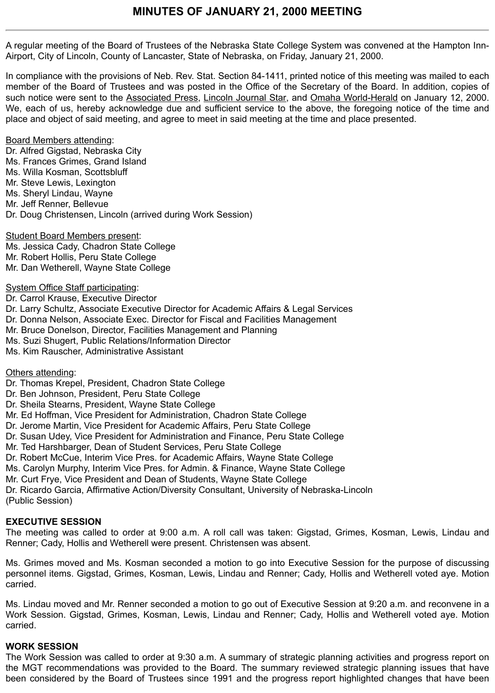A regular meeting of the Board of Trustees of the Nebraska State College System was convened at the Hampton Inn-Airport, City of Lincoln, County of Lancaster, State of Nebraska, on Friday, January 21, 2000.

In compliance with the provisions of Neb. Rev. Stat. Section 84-1411, printed notice of this meeting was mailed to each member of the Board of Trustees and was posted in the Office of the Secretary of the Board. In addition, copies of such notice were sent to the Associated Press, Lincoln Journal Star, and Omaha World-Herald on January 12, 2000. We, each of us, hereby acknowledge due and sufficient service to the above, the foregoing notice of the time and place and object of said meeting, and agree to meet in said meeting at the time and place presented.

#### Board Members attending:

Dr. Alfred Gigstad, Nebraska City Ms. Frances Grimes, Grand Island Ms. Willa Kosman, Scottsbluff Mr. Steve Lewis, Lexington Ms. Sheryl Lindau, Wayne Mr. Jeff Renner, Bellevue Dr. Doug Christensen, Lincoln (arrived during Work Session)

Student Board Members present: Ms. Jessica Cady, Chadron State College Mr. Robert Hollis, Peru State College Mr. Dan Wetherell, Wayne State College

System Office Staff participating:

Dr. Carrol Krause, Executive Director Dr. Larry Schultz, Associate Executive Director for Academic Affairs & Legal Services Dr. Donna Nelson, Associate Exec. Director for Fiscal and Facilities Management Mr. Bruce Donelson, Director, Facilities Management and Planning Ms. Suzi Shugert, Public Relations/Information Director Ms. Kim Rauscher, Administrative Assistant

#### Others attending:

- Dr. Thomas Krepel, President, Chadron State College
- Dr. Ben Johnson, President, Peru State College
- Dr. Sheila Stearns, President, Wayne State College
- Mr. Ed Hoffman, Vice President for Administration, Chadron State College
- Dr. Jerome Martin, Vice President for Academic Affairs, Peru State College
- Dr. Susan Udey, Vice President for Administration and Finance, Peru State College
- Mr. Ted Harshbarger, Dean of Student Services, Peru State College
- Dr. Robert McCue, Interim Vice Pres. for Academic Affairs, Wayne State College
- Ms. Carolyn Murphy, Interim Vice Pres. for Admin. & Finance, Wayne State College
- Mr. Curt Frye, Vice President and Dean of Students, Wayne State College

Dr. Ricardo Garcia, Affirmative Action/Diversity Consultant, University of Nebraska-Lincoln (Public Session)

#### **EXECUTIVE SESSION**

The meeting was called to order at 9:00 a.m. A roll call was taken: Gigstad, Grimes, Kosman, Lewis, Lindau and Renner; Cady, Hollis and Wetherell were present. Christensen was absent.

Ms. Grimes moved and Ms. Kosman seconded a motion to go into Executive Session for the purpose of discussing personnel items. Gigstad, Grimes, Kosman, Lewis, Lindau and Renner; Cady, Hollis and Wetherell voted aye. Motion carried.

Ms. Lindau moved and Mr. Renner seconded a motion to go out of Executive Session at 9:20 a.m. and reconvene in a Work Session. Gigstad, Grimes, Kosman, Lewis, Lindau and Renner; Cady, Hollis and Wetherell voted aye. Motion carried.

#### **WORK SESSION**

The Work Session was called to order at 9:30 a.m. A summary of strategic planning activities and progress report on the MGT recommendations was provided to the Board. The summary reviewed strategic planning issues that have been considered by the Board of Trustees since 1991 and the progress report highlighted changes that have been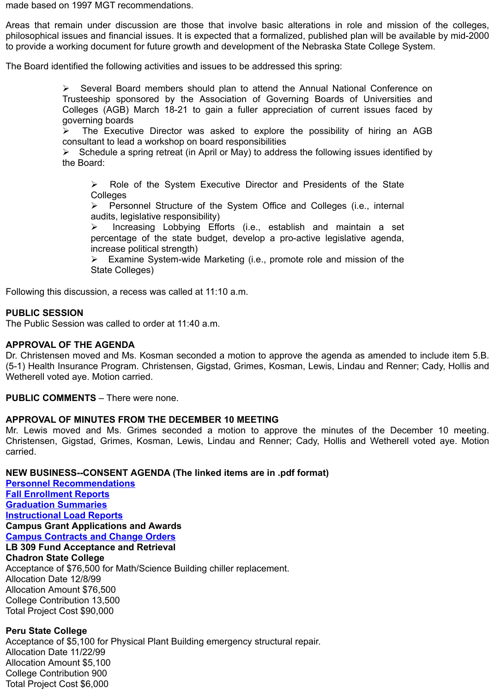Ø The Executive Director was asked to explore the possibility of hiring an AGB consultant to lead a workshop on board responsibilities

Ø Schedule a spring retreat (in April or May) to address the following issues identified by the Board:

 $\triangleright$  Role of the System Executive Director and Presidents of the State **Colleges** 

 $\triangleright$  Personnel Structure of the System Office and Colleges (i.e., internal audits, legislative responsibility)

 $\triangleright$  Increasing Lobbying Efforts (i.e., establish and maintain a set percentage of the state budget, develop a pro-active legislative agenda, increase political strength)

 $\triangleright$  Examine System-wide Marketing (i.e., promote role and mission of the State Colleges)

Following this discussion, a recess was called at 11:10 a.m.

### **PUBLIC SESSION**

The Public Session was called to order at 11:40 a.m.

### **APPROVAL OF THE AGENDA**

Dr. Christensen moved and Ms. Kosman seconded a motion to approve the agenda as amended to incl (5-1) Health Insurance Program. Christensen, Gigstad, Grimes, Kosman, Lewis, Lindau and Renner; Ca Wetherell voted aye. Motion carried.

**PUBLIC COMMENTS** – There were none.

### **APPROVAL OF MINUTES FROM THE DECEMBER 10 MEETING**

Mr. Lewis moved and Ms. Grimes seconded a motion to approve the minutes of the December Christensen, Gigstad, Grimes, Kosman, Lewis, Lindau and Renner; Cady, Hollis and Wetherell voted carried.

## **NEW BUSINESS--CONSENT AGENDA (The linked items are in .pdf format)**

**Personnel Recommendations Fall Enrollment Reports Graduation Summaries Instructional Load Reports Campus Grant Applications and Awards Campus Contracts and Change Orders LB 309 Fund Acceptance and Retrieval Chadron State College** Acceptance of \$76,500 for Math/Science Building chiller replacement. Allocation Date 12/8/99 Allocation Amount \$76,500 College Contribution 13,500 [Total Project Cost \\$90,000](http://www.nscs.edu/minutes/January%20Info/5A01Personnel.pdf)

# **[Peru State College](http://www.nscs.edu/minutes/January%20Info/5A03Graduation%20Report.pdf)**

[Acceptance of \\$5,100 for Phy](http://www.nscs.edu/minutes/January%20Info/5A04Instructional%20Load%20Report.pdf)sical Plant Building emergency structural repair. Allocation Date 11/22/99 [Allocation Amount \\$5,100](http://www.nscs.edu/minutes/January%20Info/5A06Contracts%20&%20Change%20Orders.pdf) College Contribution 900 Total Project Cost \$6,000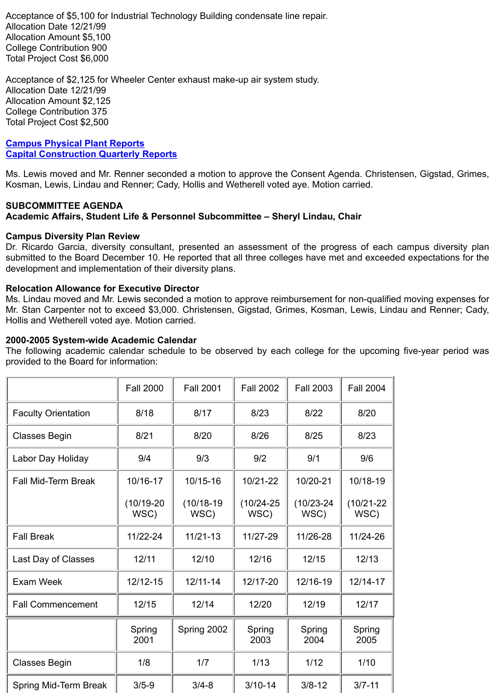#### **Campus Physical Plant Reports Capital Construction Quarterly Reports**

Ms. Lewis moved and Mr. Renner seconded a motion to approve the Consent Agenda. Christensen, Gig Kosman, Lewis, Lindau and Renner; Cady, Hollis and Wetherell voted aye. Motion carried.

### **SUBCOMMITTEE AGENDA**

## **Academic Affairs, Student Life & Personnel Subcommittee – Sheryl Lindau, Chair**

#### **Campus Diversity Plan Review**

Dr. Ricardo Garcia, diversity consultant, presented an assessment of the progress of each campus submitted to the Board December 10. He reported that all three colleges have met and exceeded expect [development and implementation o](http://www.nscs.edu/minutes/January%20Info/5A08Physical%20Plant%20Status%20Report.pdf)f their diversity plans.

### **[Relocation Allowance for Executive Dire](http://www.nscs.edu/minutes/January%20Info/5A09Capital%20ConstructionReport.pdf)ctor**

Ms. Lindau moved and Mr. Lewis seconded a motion to approve reimbursement for non-qualified moving Mr. Stan Carpenter not to exceed \$3,000. Christensen, Gigstad, Grimes, Kosman, Lewis, Lindau and F Hollis and Wetherell voted aye. Motion carried.

### **2000-2005 System-wide Academic Calendar**

The following academic calendar schedule to be observed by each college for the upcoming five-year provided to the Board for information:

|                            | <b>Fall 2000</b>     | <b>Fall 2001</b>     | <b>Fall 2002</b>       | <b>Fall 2003</b>       | <b>Fall 2004</b>       |
|----------------------------|----------------------|----------------------|------------------------|------------------------|------------------------|
| <b>Faculty Orientation</b> | 8/18                 | 8/17                 | 8/23                   | 8/22                   | 8/20                   |
| <b>Classes Begin</b>       | 8/21                 | 8/20                 | 8/26                   | 8/25                   | 8/23                   |
| Labor Day Holiday          | 9/4                  | 9/3                  | 9/2                    | 9/1                    | 9/6                    |
| <b>Fall Mid-Term Break</b> | 10/16-17             | 10/15-16             | 10/21-22               | 10/20-21               | 10/18-19               |
|                            | $(10/19-20)$<br>WSC) | $(10/18-19)$<br>WSC) | $(10/24 - 25)$<br>WSC) | $(10/23 - 24)$<br>WSC) | $(10/21 - 22)$<br>WSC) |
| <b>Fall Break</b>          | 11/22-24             | $11/21-13$           | 11/27-29               | 11/26-28               | 11/24-26               |
| Last Day of Classes        | 12/11                | 12/10                | 12/16                  | 12/15                  | 12/13                  |
| <b>Exam Week</b>           | 12/12-15             | $12/11 - 14$         | 12/17-20               | 12/16-19               | 12/14-17               |
| <b>Fall Commencement</b>   | 12/15                | 12/14                | 12/20                  | 12/19                  | 12/17                  |
|                            | Spring<br>2001       | Spring 2002          | Spring<br>2003         | Spring<br>2004         | Spring<br>2005         |
| <b>Classes Begin</b>       | 1/8                  | 1/7                  | 1/13                   | 1/12                   | 1/10                   |
| Spring Mid-Term Break      | $3/5 - 9$            | $3/4 - 8$            | $3/10-14$              | $3/8 - 12$             | $3/7 - 11$             |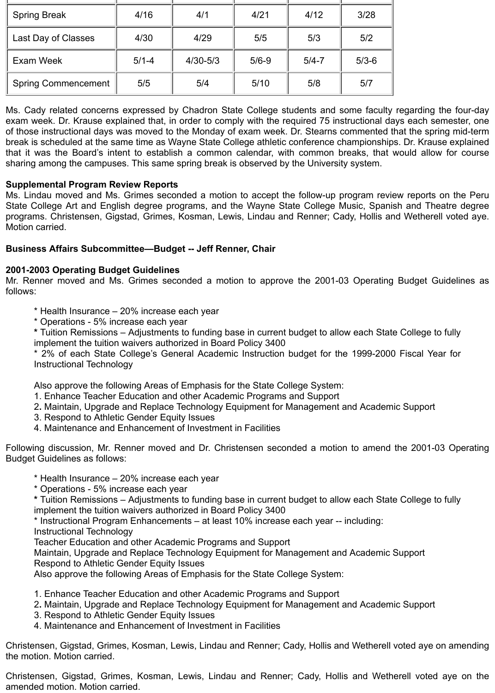| <b>Spring Break</b>        | 4/16      | 4/1          | 4/21      | 4/12      | 3/28      |
|----------------------------|-----------|--------------|-----------|-----------|-----------|
| Last Day of Classes        | 4/30      | 4/29         | 5/5       | 5/3       | 5/2       |
| <b>Exam Week</b>           | $5/1 - 4$ | $4/30 - 5/3$ | $5/6 - 9$ | $5/4 - 7$ | $5/3 - 6$ |
| <b>Spring Commencement</b> | 5/5       | 5/4          | 5/10      | 5/8       | 5/7       |

Ms. Cady related concerns expressed by Chadron State College students and some faculty regarding the four-day exam week. Dr. Krause explained that, in order to comply with the required 75 instructional days each semester, one of those instructional days was moved to the Monday of exam week. Dr. Stearns commented that the spring mid-term break is scheduled at the same time as Wayne State College athletic conference championships. Dr. Krause explained that it was the Board's intent to establish a common calendar, with common breaks, that would allow for course sharing among the campuses. This same spring break is observed by the University system.

## **Supplemental Program Review Reports**

Ms. Lindau moved and Ms. Grimes seconded a motion to accept the follow-up program review reports on the Peru State College Art and English degree programs, and the Wayne State College Music, Spanish and Theatre degree programs. Christensen, Gigstad, Grimes, Kosman, Lewis, Lindau and Renner; Cady, Hollis and Wetherell voted aye. Motion carried.

## **Business Affairs Subcommittee—Budget -- Jeff Renner, Chair**

#### **2001-2003 Operating Budget Guidelines**

Mr. Renner moved and Ms. Grimes seconded a motion to approve the 2001-03 Operating Budget Guidelines as follows:

- \* Health Insurance 20% increase each year
- \* Operations 5% increase each year

**\*** Tuition Remissions – Adjustments to funding base in current budget to allow each State College to fully implement the tuition waivers authorized in Board Policy 3400

\* 2% of each State College's General Academic Instruction budget for the 1999-2000 Fiscal Year for Instructional Technology

Also approve the following Areas of Emphasis for the State College System:

- 1. Enhance Teacher Education and other Academic Programs and Support
- 2**.** Maintain, Upgrade and Replace Technology Equipment for Management and Academic Support
- 3. Respond to Athletic Gender Equity Issues
- 4. Maintenance and Enhancement of Investment in Facilities

Following discussion, Mr. Renner moved and Dr. Christensen seconded a motion to amend the 2001-03 Operating Budget Guidelines as follows:

- \* Health Insurance 20% increase each year
- \* Operations 5% increase each year

**\*** Tuition Remissions – Adjustments to funding base in current budget to allow each State College to fully implement the tuition waivers authorized in Board Policy 3400

\* Instructional Program Enhancements – at least 10% increase each year -- including:

Instructional Technology

Teacher Education and other Academic Programs and Support

Maintain, Upgrade and Replace Technology Equipment for Management and Academic Support Respond to Athletic Gender Equity Issues

Also approve the following Areas of Emphasis for the State College System:

- 1. Enhance Teacher Education and other Academic Programs and Support
- 2**.** Maintain, Upgrade and Replace Technology Equipment for Management and Academic Support
- 3. Respond to Athletic Gender Equity Issues
- 4. Maintenance and Enhancement of Investment in Facilities

Christensen, Gigstad, Grimes, Kosman, Lewis, Lindau and Renner; Cady, Hollis and Wetherell voted aye on amending the motion. Motion carried.

Christensen, Gigstad, Grimes, Kosman, Lewis, Lindau and Renner; Cady, Hollis and Wetherell voted aye on the amended motion. Motion carried.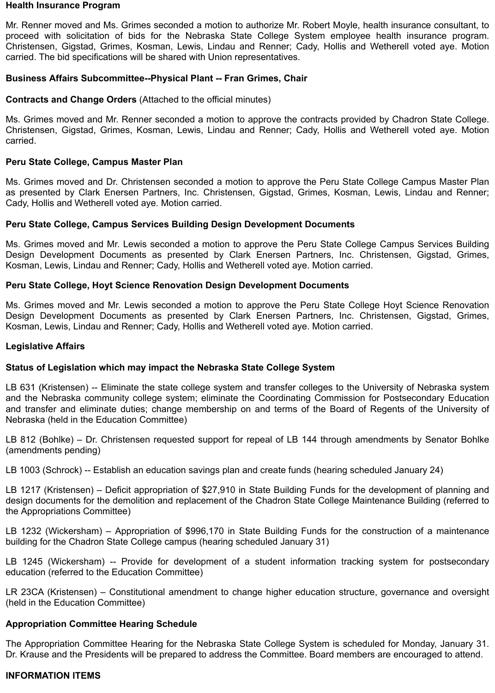#### **Health Insurance Program**

Mr. Renner moved and Ms. Grimes seconded a motion to authorize Mr. Robert Moyle, health insurance consultant, to proceed with solicitation of bids for the Nebraska State College System employee health insurance program. Christensen, Gigstad, Grimes, Kosman, Lewis, Lindau and Renner; Cady, Hollis and Wetherell voted aye. Motion carried. The bid specifications will be shared with Union representatives.

### **Business Affairs Subcommittee--Physical Plant -- Fran Grimes, Chair**

### **Contracts and Change Orders** (Attached to the official minutes)

Ms. Grimes moved and Mr. Renner seconded a motion to approve the contracts provided by Chadron State College. Christensen, Gigstad, Grimes, Kosman, Lewis, Lindau and Renner; Cady, Hollis and Wetherell voted aye. Motion carried.

### **Peru State College, Campus Master Plan**

Ms. Grimes moved and Dr. Christensen seconded a motion to approve the Peru State College Campus Master Plan as presented by Clark Enersen Partners, Inc. Christensen, Gigstad, Grimes, Kosman, Lewis, Lindau and Renner; Cady, Hollis and Wetherell voted aye. Motion carried.

#### **Peru State College, Campus Services Building Design Development Documents**

Ms. Grimes moved and Mr. Lewis seconded a motion to approve the Peru State College Campus Services Building Design Development Documents as presented by Clark Enersen Partners, Inc. Christensen, Gigstad, Grimes, Kosman, Lewis, Lindau and Renner; Cady, Hollis and Wetherell voted aye. Motion carried.

#### **Peru State College, Hoyt Science Renovation Design Development Documents**

Ms. Grimes moved and Mr. Lewis seconded a motion to approve the Peru State College Hoyt Science Renovation Design Development Documents as presented by Clark Enersen Partners, Inc. Christensen, Gigstad, Grimes, Kosman, Lewis, Lindau and Renner; Cady, Hollis and Wetherell voted aye. Motion carried.

#### **Legislative Affairs**

# **Status of Legislation which may impact the Nebraska State College System**

LB 631 (Kristensen) -- Eliminate the state college system and transfer colleges to the University of Nebraska system and the Nebraska community college system; eliminate the Coordinating Commission for Postsecondary Education and transfer and eliminate duties; change membership on and terms of the Board of Regents of the University of Nebraska (held in the Education Committee)

LB 812 (Bohlke) – Dr. Christensen requested support for repeal of LB 144 through amendments by Senator Bohlke (amendments pending)

LB 1003 (Schrock) -- Establish an education savings plan and create funds (hearing scheduled January 24)

LB 1217 (Kristensen) – Deficit appropriation of \$27,910 in State Building Funds for the development of planning and design documents for the demolition and replacement of the Chadron State College Maintenance Building (referred to the Appropriations Committee)

LB 1232 (Wickersham) – Appropriation of \$996,170 in State Building Funds for the construction of a maintenance building for the Chadron State College campus (hearing scheduled January 31)

LB 1245 (Wickersham) -- Provide for development of a student information tracking system for postsecondary education (referred to the Education Committee)

LR 23CA (Kristensen) – Constitutional amendment to change higher education structure, governance and oversight (held in the Education Committee)

# **Appropriation Committee Hearing Schedule**

The Appropriation Committee Hearing for the Nebraska State College System is scheduled for Monday, January 31. Dr. Krause and the Presidents will be prepared to address the Committee. Board members are encouraged to attend.

# **INFORMATION ITEMS**